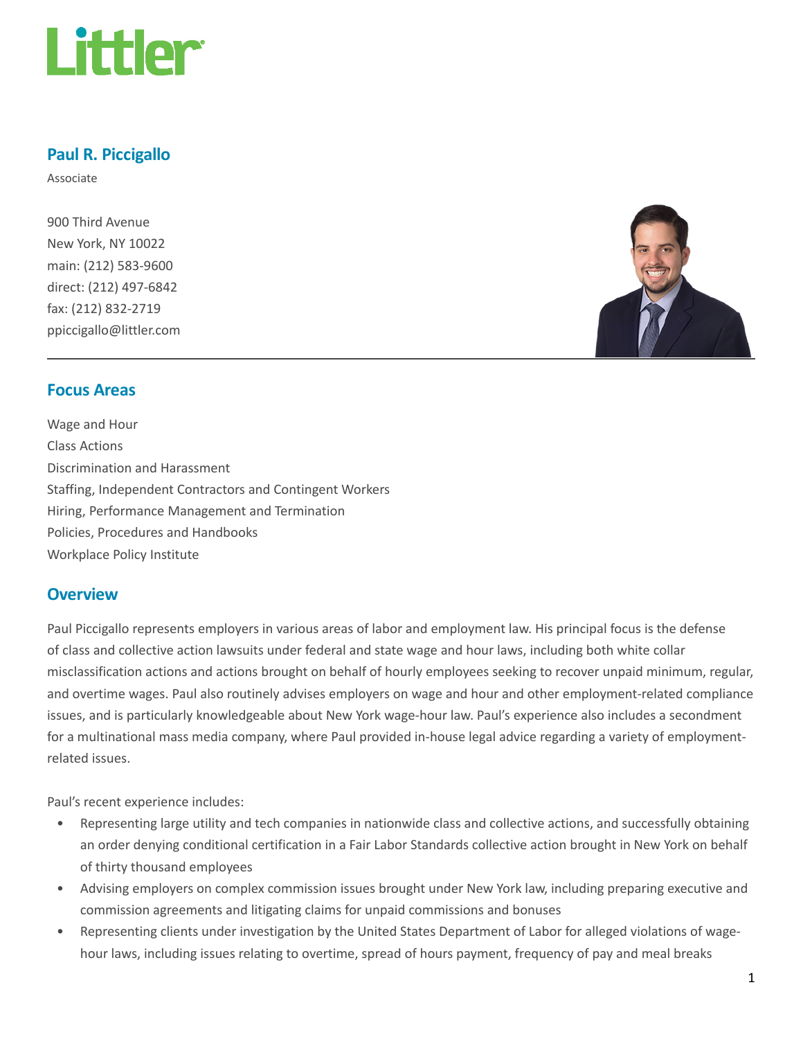

# Paul R. Piccigallo

Associate

900 Third Avenue New York, NY 10022 main: (212) 583-9600 direct: (212) 497-6842 fax: (212) 832-2719 ppiccigallo@littler.com



### Focus Areas

Wage and Hour Class Actions Discrimination and Harassment Staffing, Independent Contractors and Contingent Workers Hiring, Performance Management and Termination Policies, Procedures and Handbooks Workplace Policy Institute

### **Overview**

Paul Piccigallo represents employers in various areas of labor and employment law. His principal focus is the defense of class and collective action lawsuits under federal and state wage and hour laws, including both white collar misclassification actions and actions brought on behalf of hourly employees seeking to recover unpaid minimum, regular, and overtime wages. Paul also routinely advises employers on wage and hour and other employment-related compliance issues, and is particularly knowledgeable about New York wage-hour law. Paul's experience also includes a secondment for a multinational mass media company, where Paul provided in-house legal advice regarding a variety of employmentrelated issues.

Paul's recent experience includes:

- Representing large utility and tech companies in nationwide class and collective actions, and successfully obtaining an order denying conditional certification in a Fair Labor Standards collective action brought in New York on behalf of thirty thousand employees
- Advising employers on complex commission issues brought under New York law, including preparing executive and commission agreements and litigating claims for unpaid commissions and bonuses
- Representing clients under investigation by the United States Department of Labor for alleged violations of wagehour laws, including issues relating to overtime, spread of hours payment, frequency of pay and meal breaks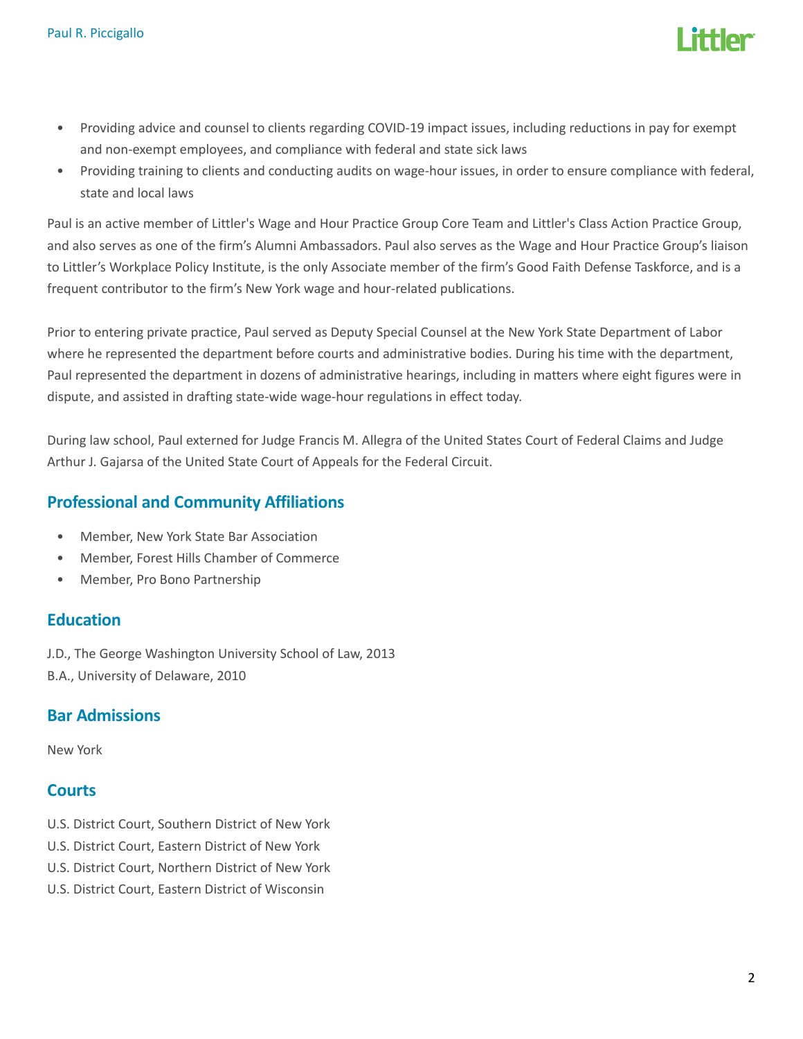

- Providing advice and counsel to clients regarding COVID-19 impact issues, including reductions in pay for exempt and non-exempt employees, and compliance with federal and state sick laws
- Providing training to clients and conducting audits on wage-hour issues, in order to ensure compliance with federal, state and local laws

Paul is an active member of Littler's Wage and Hour Practice Group Core Team and Littler's Class Action Practice Group, and also serves as one of the firm's Alumni Ambassadors. Paul also serves as the Wage and Hour Practice Group's liaison to Littler's Workplace Policy Institute, is the only Associate member of the firm's Good Faith Defense Taskforce, and is a frequent contributor to the firm's New York wage and hour-related publications.

Prior to entering private practice, Paul served as Deputy Special Counsel at the New York State Department of Labor where he represented the department before courts and administrative bodies. During his time with the department, Paul represented the department in dozens of administrative hearings, including in matters where eight figures were in dispute, and assisted in drafting state-wide wage-hour regulations in effect today.

During law school, Paul externed for Judge Francis M. Allegra of the United States Court of Federal Claims and Judge Arthur J. Gajarsa of the United State Court of Appeals for the Federal Circuit.

# Professional and Community Affiliations

- Member, New York State Bar Association
- Member, Forest Hills Chamber of Commerce
- Member, Pro Bono Partnership

# **Education**

J.D., The George Washington University School of Law, 2013

B.A., University of Delaware, 2010

# Bar Admissions

New York

# **Courts**

- U.S. District Court, Southern District of New York
- U.S. District Court, Eastern District of New York
- U.S. District Court, Northern District of New York
- U.S. District Court, Eastern District of Wisconsin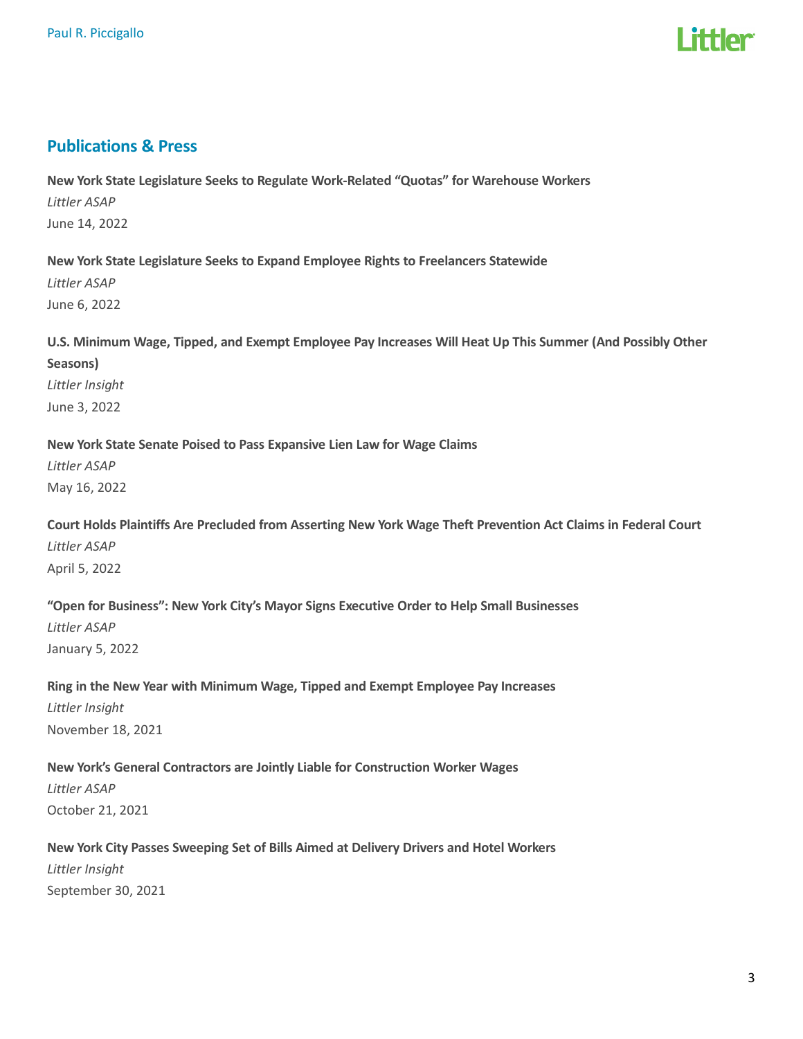

#### Publications & Press

New York State Legislature Seeks to Regulate Work-Related "Quotas" for Warehouse Workers Littler ASAP June 14, 2022

New York State Legislature Seeks to Expand Employee Rights to Freelancers Statewide

Littler ASAP June 6, 2022

U.S. Minimum Wage, Tipped, and Exempt Employee Pay Increases Will Heat Up This Summer (And Possibly Other Seasons) Littler Insight

June 3, 2022

New York State Senate Poised to Pass Expansive Lien Law for Wage Claims Littler ASAP May 16, 2022

Court Holds Plaintiffs Are Precluded from Asserting New York Wage Theft Prevention Act Claims in Federal Court Littler ASAP April 5, 2022

"Open for Business": New York City's Mayor Signs Executive Order to Help Small Businesses Littler ASAP January 5, 2022

Ring in the New Year with Minimum Wage, Tipped and Exempt Employee Pay Increases Littler Insight November 18, 2021

New York's General Contractors are Jointly Liable for Construction Worker Wages Littler ASAP October 21, 2021

New York City Passes Sweeping Set of Bills Aimed at Delivery Drivers and Hotel Workers Littler Insight September 30, 2021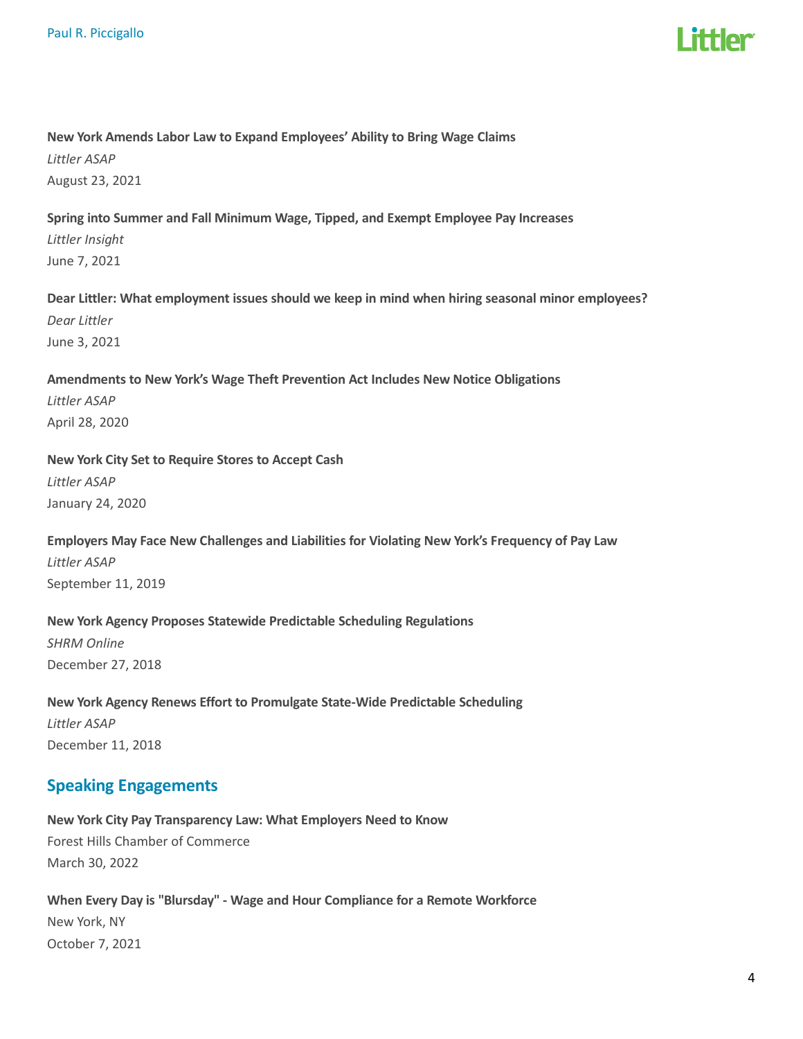

## New York Amends Labor Law to Expand Employees' Ability to Bring Wage Claims

Littler ASAP August 23, 2021

# Spring into Summer and Fall Minimum Wage, Tipped, and Exempt Employee Pay Increases Littler Insight June 7, 2021

Dear Littler: What employment issues should we keep in mind when hiring seasonal minor employees? Dear Littler June 3, 2021

## Amendments to New York's Wage Theft Prevention Act Includes New Notice Obligations Littler ASAP April 28, 2020

New York City Set to Require Stores to Accept Cash Littler ASAP

January 24, 2020

Employers May Face New Challenges and Liabilities for Violating New York's Frequency of Pay Law Littler ASAP September 11, 2019

# New York Agency Proposes Statewide Predictable Scheduling Regulations

SHRM Online December 27, 2018

New York Agency Renews Effort to Promulgate State-Wide Predictable Scheduling Littler ASAP December 11, 2018

# Speaking Engagements

New York City Pay Transparency Law: What Employers Need to Know Forest Hills Chamber of Commerce March 30, 2022

When Every Day is "Blursday" - Wage and Hour Compliance for a Remote Workforce New York, NY October 7, 2021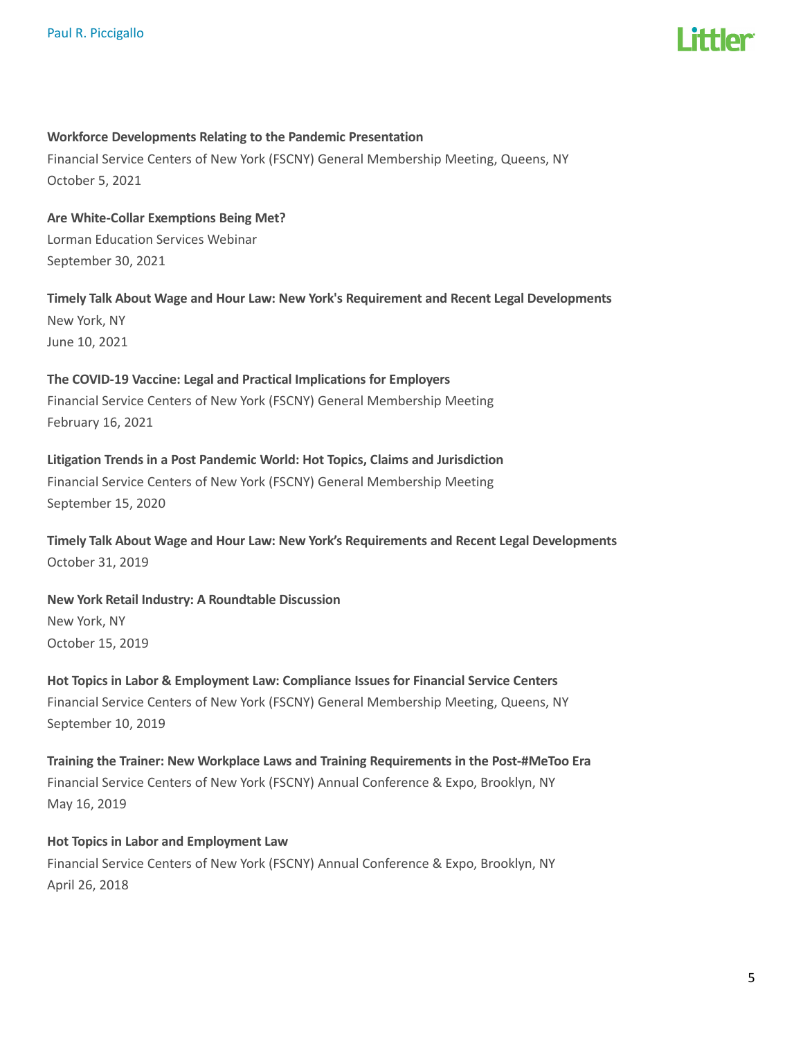

#### Workforce Developments Relating to the Pandemic Presentation

Financial Service Centers of New York (FSCNY) General Membership Meeting, Queens, NY October 5, 2021

Are White-Collar Exemptions Being Met? Lorman Education Services Webinar September 30, 2021

Timely Talk About Wage and Hour Law: New York's Requirement and Recent Legal Developments New York, NY June 10, 2021

The COVID-19 Vaccine: Legal and Practical Implications for Employers Financial Service Centers of New York (FSCNY) General Membership Meeting February 16, 2021

Litigation Trends in a Post Pandemic World: Hot Topics, Claims and Jurisdiction Financial Service Centers of New York (FSCNY) General Membership Meeting September 15, 2020

Timely Talk About Wage and Hour Law: New York's Requirements and Recent Legal Developments October 31, 2019

New York Retail Industry: A Roundtable Discussion New York, NY October 15, 2019

Hot Topics in Labor & Employment Law: Compliance Issues for Financial Service Centers Financial Service Centers of New York (FSCNY) General Membership Meeting, Queens, NY September 10, 2019

Training the Trainer: New Workplace Laws and Training Requirements in the Post-#MeToo Era Financial Service Centers of New York (FSCNY) Annual Conference & Expo, Brooklyn, NY May 16, 2019

Hot Topics in Labor and Employment Law Financial Service Centers of New York (FSCNY) Annual Conference & Expo, Brooklyn, NY April 26, 2018